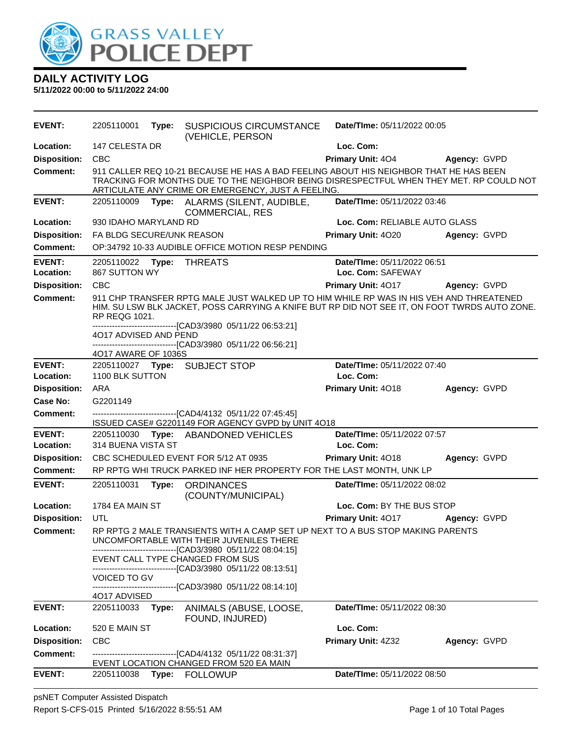

**5/11/2022 00:00 to 5/11/2022 24:00**

| <b>EVENT:</b>              | 2205110001                 | Type: | <b>SUSPICIOUS CIRCUMSTANCE</b><br>(VEHICLE, PERSON                                                                                                                                                                                     | Date/TIme: 05/11/2022 00:05              |                     |
|----------------------------|----------------------------|-------|----------------------------------------------------------------------------------------------------------------------------------------------------------------------------------------------------------------------------------------|------------------------------------------|---------------------|
| Location:                  | 147 CELESTA DR             |       |                                                                                                                                                                                                                                        | Loc. Com:                                |                     |
| <b>Disposition:</b>        | <b>CBC</b>                 |       |                                                                                                                                                                                                                                        | <b>Primary Unit: 404</b>                 | Agency: GVPD        |
| <b>Comment:</b>            |                            |       | 911 CALLER REQ 10-21 BECAUSE HE HAS A BAD FEELING ABOUT HIS NEIGHBOR THAT HE HAS BEEN<br>TRACKING FOR MONTHS DUE TO THE NEIGHBOR BEING DISRESPECTFUL WHEN THEY MET. RP COULD NOT<br>ARTICULATE ANY CRIME OR EMERGENCY, JUST A FEELING. |                                          |                     |
| <b>EVENT:</b>              |                            |       | 2205110009 Type: ALARMS (SILENT, AUDIBLE,<br><b>COMMERCIAL, RES</b>                                                                                                                                                                    | Date/TIme: 05/11/2022 03:46              |                     |
| Location:                  | 930 IDAHO MARYLAND RD      |       |                                                                                                                                                                                                                                        | Loc. Com: RELIABLE AUTO GLASS            |                     |
| <b>Disposition:</b>        | FA BLDG SECURE/UNK REASON  |       |                                                                                                                                                                                                                                        | Primary Unit: 4020                       | Agency: GVPD        |
| <b>Comment:</b>            |                            |       | OP:34792 10-33 AUDIBLE OFFICE MOTION RESP PENDING                                                                                                                                                                                      |                                          |                     |
| <b>EVENT:</b>              | 2205110022 Type: THREATS   |       |                                                                                                                                                                                                                                        | Date/TIme: 05/11/2022 06:51              |                     |
| Location:                  | 867 SUTTON WY              |       |                                                                                                                                                                                                                                        | Loc. Com: SAFEWAY                        |                     |
| <b>Disposition:</b>        | <b>CBC</b>                 |       |                                                                                                                                                                                                                                        | <b>Primary Unit: 4017</b>                | Agency: GVPD        |
| <b>Comment:</b>            | <b>RP REQG 1021.</b>       |       | 911 CHP TRANSFER RPTG MALE JUST WALKED UP TO HIM WHILE RP WAS IN HIS VEH AND THREATENED<br>HIM. SU LSW BLK JACKET, POSS CARRYING A KNIFE BUT RP DID NOT SEE IT, ON FOOT TWRDS AUTO ZONE.                                               |                                          |                     |
|                            | 4O17 ADVISED AND PEND      |       | -------------------------------[CAD3/3980_05/11/22_06:53:21]<br>---------------------------------[CAD3/3980 05/11/22 06:56:21]                                                                                                         |                                          |                     |
|                            | 4017 AWARE OF 1036S        |       |                                                                                                                                                                                                                                        |                                          |                     |
| <b>EVENT:</b><br>Location: | 1100 BLK SUTTON            |       | 2205110027 Type: SUBJECT STOP                                                                                                                                                                                                          | Date/TIme: 05/11/2022 07:40<br>Loc. Com: |                     |
| <b>Disposition:</b>        | ARA                        |       |                                                                                                                                                                                                                                        | Primary Unit: 4018                       | Agency: GVPD        |
| Case No:                   | G2201149                   |       |                                                                                                                                                                                                                                        |                                          |                     |
| <b>Comment:</b>            |                            |       | ------------------------------[CAD4/4132 05/11/22 07:45:45]<br>ISSUED CASE# G2201149 FOR AGENCY GVPD by UNIT 4O18                                                                                                                      |                                          |                     |
| <b>EVENT:</b>              |                            |       | 2205110030 Type: ABANDONED VEHICLES                                                                                                                                                                                                    | Date/TIme: 05/11/2022 07:57              |                     |
| Location:                  | 314 BUENA VISTA ST         |       |                                                                                                                                                                                                                                        | Loc. Com:                                |                     |
| <b>Disposition:</b>        |                            |       | CBC SCHEDULED EVENT FOR 5/12 AT 0935                                                                                                                                                                                                   | <b>Primary Unit: 4018</b>                | Agency: GVPD        |
| <b>Comment:</b>            |                            |       | RP RPTG WHI TRUCK PARKED INF HER PROPERTY FOR THE LAST MONTH, UNK LP                                                                                                                                                                   |                                          |                     |
| <b>EVENT:</b>              | 2205110031                 | Type: | <b>ORDINANCES</b><br>(COUNTY/MUNICIPAL)                                                                                                                                                                                                | Date/TIme: 05/11/2022 08:02              |                     |
| Location:                  | 1784 EA MAIN ST            |       |                                                                                                                                                                                                                                        | Loc. Com: BY THE BUS STOP                |                     |
| <b>Disposition:</b>        | UTL                        |       |                                                                                                                                                                                                                                        | Primary Unit: 4017                       | <b>Agency: GVPD</b> |
| <b>Comment:</b>            |                            |       | RP RPTG 2 MALE TRANSIENTS WITH A CAMP SET UP NEXT TO A BUS STOP MAKING PARENTS<br>UNCOMFORTABLE WITH THEIR JUVENILES THERE<br>-------------------------------[CAD3/3980 05/11/22 08:04:15]                                             |                                          |                     |
|                            |                            |       | EVENT CALL TYPE CHANGED FROM SUS                                                                                                                                                                                                       |                                          |                     |
|                            | <b>VOICED TO GV</b>        |       | -------------------------------[CAD3/3980_05/11/22 08:13:51]                                                                                                                                                                           |                                          |                     |
|                            |                            |       | ------------------------[CAD3/3980_05/11/22_08:14:10]                                                                                                                                                                                  |                                          |                     |
| <b>EVENT:</b>              | 4O17 ADVISED<br>2205110033 | Type: | ANIMALS (ABUSE, LOOSE,<br>FOUND, INJURED)                                                                                                                                                                                              | Date/TIme: 05/11/2022 08:30              |                     |
|                            |                            |       |                                                                                                                                                                                                                                        |                                          |                     |
| Location:                  | 520 E MAIN ST              |       |                                                                                                                                                                                                                                        | Loc. Com:                                |                     |
| <b>Disposition:</b>        | <b>CBC</b>                 |       |                                                                                                                                                                                                                                        | Primary Unit: 4Z32                       | Agency: GVPD        |
| <b>Comment:</b>            |                            |       | -------------------------------[CAD4/4132 05/11/22 08:31:37]                                                                                                                                                                           |                                          |                     |
| <b>EVENT:</b>              |                            | Type: | EVENT LOCATION CHANGED FROM 520 EA MAIN<br><b>FOLLOWUP</b>                                                                                                                                                                             | <b>Date/TIme: 05/11/2022 08:50</b>       |                     |

psNET Computer Assisted Dispatch Report S-CFS-015 Printed 5/16/2022 8:55:51 AM Page 1 of 10 Total Pages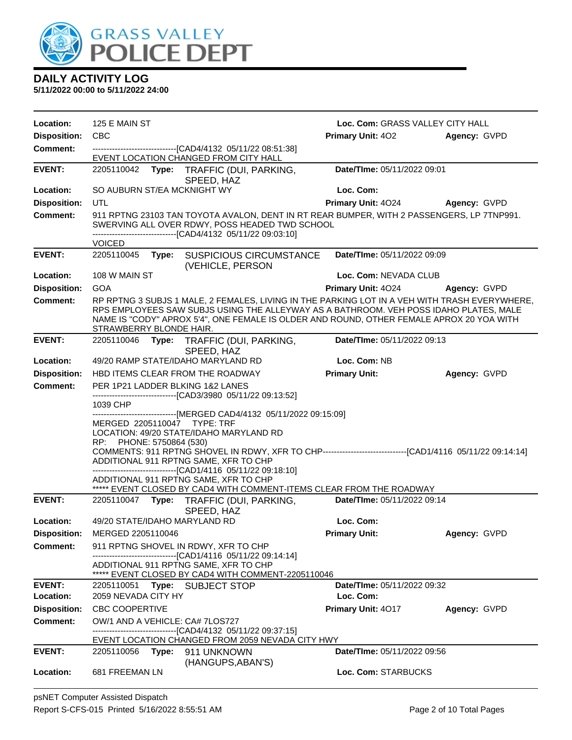

| Location:           | 125 E MAIN ST                                           |                                                                                                                                                                                                                                                                                                                                                                                                                                                            | Loc. Com: GRASS VALLEY CITY HALL |              |
|---------------------|---------------------------------------------------------|------------------------------------------------------------------------------------------------------------------------------------------------------------------------------------------------------------------------------------------------------------------------------------------------------------------------------------------------------------------------------------------------------------------------------------------------------------|----------------------------------|--------------|
| <b>Disposition:</b> | <b>CBC</b>                                              |                                                                                                                                                                                                                                                                                                                                                                                                                                                            | <b>Primary Unit: 402</b>         | Agency: GVPD |
| Comment:            |                                                         | --------------------------------[CAD4/4132 05/11/22 08:51:38]<br>EVENT LOCATION CHANGED FROM CITY HALL                                                                                                                                                                                                                                                                                                                                                     |                                  |              |
| <b>EVENT:</b>       |                                                         | 2205110042 Type: TRAFFIC (DUI, PARKING,<br>SPEED, HAZ                                                                                                                                                                                                                                                                                                                                                                                                      | Date/TIme: 05/11/2022 09:01      |              |
| Location:           | SO AUBURN ST/EA MCKNIGHT WY                             |                                                                                                                                                                                                                                                                                                                                                                                                                                                            | Loc. Com:                        |              |
| <b>Disposition:</b> | UTL                                                     |                                                                                                                                                                                                                                                                                                                                                                                                                                                            | Primary Unit: 4024               | Agency: GVPD |
| <b>Comment:</b>     |                                                         | 911 RPTNG 23103 TAN TOYOTA AVALON, DENT IN RT REAR BUMPER, WITH 2 PASSENGERS, LP 7TNP991.<br>SWERVING ALL OVER RDWY, POSS HEADED TWD SCHOOL<br>-------------------------------[CAD4/4132 05/11/22 09:03:10]                                                                                                                                                                                                                                                |                                  |              |
|                     | <b>VOICED</b>                                           |                                                                                                                                                                                                                                                                                                                                                                                                                                                            |                                  |              |
| <b>EVENT:</b>       | 2205110045                                              | Type: SUSPICIOUS CIRCUMSTANCE<br>(VEHICLE, PERSON                                                                                                                                                                                                                                                                                                                                                                                                          | Date/TIme: 05/11/2022 09:09      |              |
| Location:           | 108 W MAIN ST                                           |                                                                                                                                                                                                                                                                                                                                                                                                                                                            | Loc. Com: NEVADA CLUB            |              |
| <b>Disposition:</b> | <b>GOA</b>                                              |                                                                                                                                                                                                                                                                                                                                                                                                                                                            | Primary Unit: 4024               | Agency: GVPD |
| <b>Comment:</b>     | STRAWBERRY BLONDE HAIR.                                 | RP RPTNG 3 SUBJS 1 MALE, 2 FEMALES, LIVING IN THE PARKING LOT IN A VEH WITH TRASH EVERYWHERE,<br>RPS EMPLOYEES SAW SUBJS USING THE ALLEYWAY AS A BATHROOM. VEH POSS IDAHO PLATES, MALE<br>NAME IS "CODY" APROX 5'4", ONE FEMALE IS OLDER AND ROUND, OTHER FEMALE APROX 20 YOA WITH                                                                                                                                                                         |                                  |              |
| <b>EVENT:</b>       |                                                         | 2205110046 Type: TRAFFIC (DUI, PARKING,<br>SPEED, HAZ                                                                                                                                                                                                                                                                                                                                                                                                      | Date/TIme: 05/11/2022 09:13      |              |
| Location:           | 49/20 RAMP STATE/IDAHO MARYLAND RD                      |                                                                                                                                                                                                                                                                                                                                                                                                                                                            | Loc. Com: NB                     |              |
| <b>Disposition:</b> | HBD ITEMS CLEAR FROM THE ROADWAY                        |                                                                                                                                                                                                                                                                                                                                                                                                                                                            | <b>Primary Unit:</b>             | Agency: GVPD |
| <b>Comment:</b>     | PER 1P21 LADDER BLKING 1&2 LANES<br>1039 CHP            | ------------------------------[CAD3/3980 05/11/22 09:13:52]                                                                                                                                                                                                                                                                                                                                                                                                |                                  |              |
|                     | MERGED 2205110047 TYPE: TRF<br>RP: PHONE: 5750864 (530) | ------------------------------[MERGED CAD4/4132 05/11/2022 09:15:09]<br>LOCATION: 49/20 STATE/IDAHO MARYLAND RD<br>COMMENTS: 911 RPTNG SHOVEL IN RDWY, XFR TO CHP---------------------------------[CAD1/4116 05/11/22 09:14:14]<br>ADDITIONAL 911 RPTNG SAME, XFR TO CHP<br>--------------------------------[CAD1/4116 05/11/22 09:18:10]<br>ADDITIONAL 911 RPTNG SAME, XFR TO CHP<br>***** EVENT CLOSED BY CAD4 WITH COMMENT-ITEMS CLEAR FROM THE ROADWAY |                                  |              |
| <b>EVENT:</b>       |                                                         | 2205110047 Type: TRAFFIC (DUI, PARKING,                                                                                                                                                                                                                                                                                                                                                                                                                    | Date/TIme: 05/11/2022 09:14      |              |
|                     |                                                         | SPEED, HAZ                                                                                                                                                                                                                                                                                                                                                                                                                                                 |                                  |              |
| Location:           | 49/20 STATE/IDAHO MARYLAND RD                           |                                                                                                                                                                                                                                                                                                                                                                                                                                                            | Loc. Com:                        |              |
| <b>Disposition:</b> | MERGED 2205110046                                       |                                                                                                                                                                                                                                                                                                                                                                                                                                                            | <b>Primary Unit:</b>             | Agency: GVPD |
| Comment:            |                                                         | 911 RPTNG SHOVEL IN RDWY, XFR TO CHP<br>--------------------------[CAD1/4116 05/11/22 09:14:14]<br>ADDITIONAL 911 RPTNG SAME, XFR TO CHP<br>***** EVENT CLOSED BY CAD4 WITH COMMENT-2205110046                                                                                                                                                                                                                                                             |                                  |              |
| <b>EVENT:</b>       | 2205110051 Type: SUBJECT STOP                           |                                                                                                                                                                                                                                                                                                                                                                                                                                                            | Date/TIme: 05/11/2022 09:32      |              |
| Location:           | 2059 NEVADA CITY HY                                     |                                                                                                                                                                                                                                                                                                                                                                                                                                                            | Loc. Com:                        |              |
| <b>Disposition:</b> | <b>CBC COOPERTIVE</b>                                   |                                                                                                                                                                                                                                                                                                                                                                                                                                                            | <b>Primary Unit: 4017</b>        | Agency: GVPD |
| Comment:            | OW/1 AND A VEHICLE: CA# 7LOS727                         | -------------------------------[CAD4/4132 05/11/22 09:37:15]<br>EVENT LOCATION CHANGED FROM 2059 NEVADA CITY HWY                                                                                                                                                                                                                                                                                                                                           |                                  |              |
| <b>EVENT:</b>       | 2205110056 Type: 911 UNKNOWN                            |                                                                                                                                                                                                                                                                                                                                                                                                                                                            | Date/TIme: 05/11/2022 09:56      |              |
|                     |                                                         | (HANGUPS, ABAN'S)                                                                                                                                                                                                                                                                                                                                                                                                                                          |                                  |              |
| Location:           | 681 FREEMAN LN                                          |                                                                                                                                                                                                                                                                                                                                                                                                                                                            | Loc. Com: STARBUCKS              |              |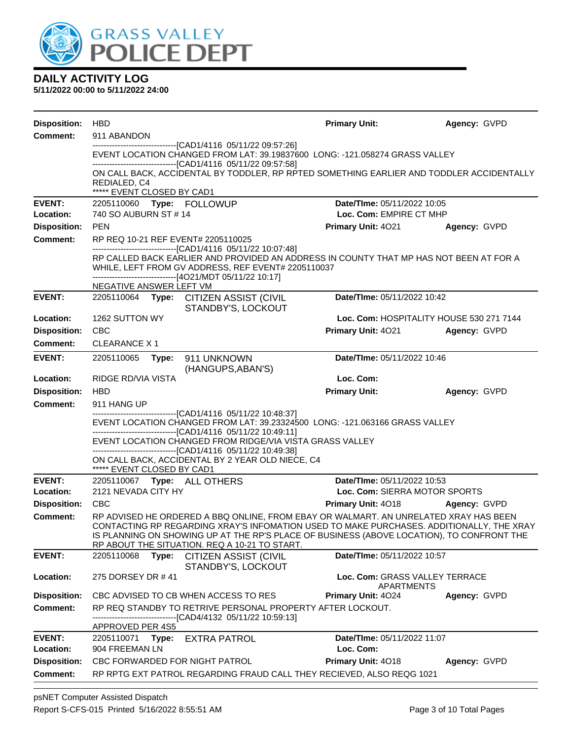

| <b>Disposition:</b> | <b>HBD</b>                                                                                                                                                                                                                                                              |                                                                                                                                                                                                                                                                                                                                | <b>Primary Unit:</b>                                | Agency: GVPD                             |  |  |  |
|---------------------|-------------------------------------------------------------------------------------------------------------------------------------------------------------------------------------------------------------------------------------------------------------------------|--------------------------------------------------------------------------------------------------------------------------------------------------------------------------------------------------------------------------------------------------------------------------------------------------------------------------------|-----------------------------------------------------|------------------------------------------|--|--|--|
| <b>Comment:</b>     | 911 ABANDON                                                                                                                                                                                                                                                             |                                                                                                                                                                                                                                                                                                                                |                                                     |                                          |  |  |  |
|                     | --------------------------------[CAD1/4116 05/11/22 09:57:26]<br>EVENT LOCATION CHANGED FROM LAT: 39.19837600 LONG: -121.058274 GRASS VALLEY                                                                                                                            |                                                                                                                                                                                                                                                                                                                                |                                                     |                                          |  |  |  |
|                     |                                                                                                                                                                                                                                                                         | ----------------------------[CAD1/4116 05/11/22 09:57:58]<br>ON CALL BACK, ACCIDENTAL BY TODDLER, RP RPTED SOMETHING EARLIER AND TODDLER ACCIDENTALLY                                                                                                                                                                          |                                                     |                                          |  |  |  |
|                     | REDIALED, C4<br>***** EVENT CLOSED BY CAD1                                                                                                                                                                                                                              |                                                                                                                                                                                                                                                                                                                                |                                                     |                                          |  |  |  |
| <b>EVENT:</b>       | 2205110060 Type: FOLLOWUP                                                                                                                                                                                                                                               |                                                                                                                                                                                                                                                                                                                                | Date/TIme: 05/11/2022 10:05                         |                                          |  |  |  |
| Location:           | 740 SO AUBURN ST # 14                                                                                                                                                                                                                                                   |                                                                                                                                                                                                                                                                                                                                | Loc. Com: EMPIRE CT MHP                             |                                          |  |  |  |
| <b>Disposition:</b> | <b>PEN</b>                                                                                                                                                                                                                                                              |                                                                                                                                                                                                                                                                                                                                | <b>Primary Unit: 4021</b>                           | Agency: GVPD                             |  |  |  |
| Comment:            | RP REQ 10-21 REF EVENT# 2205110025                                                                                                                                                                                                                                      |                                                                                                                                                                                                                                                                                                                                |                                                     |                                          |  |  |  |
|                     | -------------------------------[CAD1/4116 05/11/22 10:07:48]<br>RP CALLED BACK EARLIER AND PROVIDED AN ADDRESS IN COUNTY THAT MP HAS NOT BEEN AT FOR A<br>WHILE, LEFT FROM GV ADDRESS, REF EVENT# 2205110037<br>------------------------------[4O21/MDT 05/11/22 10:17] |                                                                                                                                                                                                                                                                                                                                |                                                     |                                          |  |  |  |
|                     | NEGATIVE ANSWER LEFT VM                                                                                                                                                                                                                                                 |                                                                                                                                                                                                                                                                                                                                |                                                     |                                          |  |  |  |
| <b>EVENT:</b>       |                                                                                                                                                                                                                                                                         | 2205110064 Type: CITIZEN ASSIST (CIVIL<br>STANDBY'S, LOCKOUT                                                                                                                                                                                                                                                                   | Date/TIme: 05/11/2022 10:42                         |                                          |  |  |  |
| Location:           | 1262 SUTTON WY                                                                                                                                                                                                                                                          |                                                                                                                                                                                                                                                                                                                                |                                                     | Loc. Com: HOSPITALITY HOUSE 530 271 7144 |  |  |  |
| <b>Disposition:</b> | <b>CBC</b>                                                                                                                                                                                                                                                              |                                                                                                                                                                                                                                                                                                                                | Primary Unit: 4021                                  | Agency: GVPD                             |  |  |  |
| <b>Comment:</b>     | <b>CLEARANCE X 1</b>                                                                                                                                                                                                                                                    |                                                                                                                                                                                                                                                                                                                                |                                                     |                                          |  |  |  |
| <b>EVENT:</b>       | 2205110065                                                                                                                                                                                                                                                              | Type: 911 UNKNOWN<br>(HANGUPS, ABAN'S)                                                                                                                                                                                                                                                                                         | Date/TIme: 05/11/2022 10:46                         |                                          |  |  |  |
| Location:           | RIDGE RD/VIA VISTA                                                                                                                                                                                                                                                      |                                                                                                                                                                                                                                                                                                                                | Loc. Com:                                           |                                          |  |  |  |
| <b>Disposition:</b> | <b>HBD</b>                                                                                                                                                                                                                                                              |                                                                                                                                                                                                                                                                                                                                | <b>Primary Unit:</b>                                | Agency: GVPD                             |  |  |  |
| <b>Comment:</b>     | 911 HANG UP                                                                                                                                                                                                                                                             |                                                                                                                                                                                                                                                                                                                                |                                                     |                                          |  |  |  |
|                     |                                                                                                                                                                                                                                                                         | -------------------------------[CAD1/4116 05/11/22 10:48:37]<br>EVENT LOCATION CHANGED FROM LAT: 39.23324500 LONG: -121.063166 GRASS VALLEY<br>-------------------------------[CAD1/4116 05/11/22 10:49:11]                                                                                                                    |                                                     |                                          |  |  |  |
|                     |                                                                                                                                                                                                                                                                         | EVENT LOCATION CHANGED FROM RIDGE/VIA VISTA GRASS VALLEY                                                                                                                                                                                                                                                                       |                                                     |                                          |  |  |  |
|                     |                                                                                                                                                                                                                                                                         | -------------------------------[CAD1/4116 05/11/22 10:49:38]<br>ON CALL BACK, ACCIDENTAL BY 2 YEAR OLD NIECE, C4                                                                                                                                                                                                               |                                                     |                                          |  |  |  |
|                     | ***** EVENT CLOSED BY CAD1                                                                                                                                                                                                                                              |                                                                                                                                                                                                                                                                                                                                |                                                     |                                          |  |  |  |
| <b>EVENT:</b>       | 2205110067    Type: ALL OTHERS                                                                                                                                                                                                                                          |                                                                                                                                                                                                                                                                                                                                | Date/TIme: 05/11/2022 10:53                         |                                          |  |  |  |
| Location:           | 2121 NEVADA CITY HY                                                                                                                                                                                                                                                     |                                                                                                                                                                                                                                                                                                                                | Loc. Com: SIERRA MOTOR SPORTS                       |                                          |  |  |  |
| <b>Disposition:</b> | <b>CBC</b>                                                                                                                                                                                                                                                              |                                                                                                                                                                                                                                                                                                                                | <b>Primary Unit: 4018</b>                           | Agency: GVPD                             |  |  |  |
| <b>Comment:</b>     |                                                                                                                                                                                                                                                                         | RP ADVISED HE ORDERED A BBQ ONLINE, FROM EBAY OR WALMART. AN UNRELATED XRAY HAS BEEN<br>CONTACTING RP REGARDING XRAY'S INFOMATION USED TO MAKE PURCHASES. ADDITIONALLY, THE XRAY<br>IS PLANNING ON SHOWING UP AT THE RP'S PLACE OF BUSINESS (ABOVE LOCATION), TO CONFRONT THE<br>RP ABOUT THE SITUATION. REQ A 10-21 TO START. |                                                     |                                          |  |  |  |
| <b>EVENT:</b>       | 2205110068<br>Type:                                                                                                                                                                                                                                                     | <b>CITIZEN ASSIST (CIVIL</b><br>STANDBY'S, LOCKOUT                                                                                                                                                                                                                                                                             | Date/TIme: 05/11/2022 10:57                         |                                          |  |  |  |
| Location:           | 275 DORSEY DR #41                                                                                                                                                                                                                                                       |                                                                                                                                                                                                                                                                                                                                | Loc. Com: GRASS VALLEY TERRACE<br><b>APARTMENTS</b> |                                          |  |  |  |
| <b>Disposition:</b> |                                                                                                                                                                                                                                                                         | CBC ADVISED TO CB WHEN ACCESS TO RES                                                                                                                                                                                                                                                                                           | <b>Primary Unit: 4024</b>                           | Agency: GVPD                             |  |  |  |
| <b>Comment:</b>     |                                                                                                                                                                                                                                                                         | RP REQ STANDBY TO RETRIVE PERSONAL PROPERTY AFTER LOCKOUT.<br>------------------[CAD4/4132_05/11/22_10:59:13]                                                                                                                                                                                                                  |                                                     |                                          |  |  |  |
| <b>EVENT:</b>       | APPROVED PER 4S5                                                                                                                                                                                                                                                        |                                                                                                                                                                                                                                                                                                                                | <b>Date/Time: 05/11/2022 11:07</b>                  |                                          |  |  |  |
| Location:           | 2205110071 Type: EXTRA PATROL<br>904 FREEMAN LN                                                                                                                                                                                                                         |                                                                                                                                                                                                                                                                                                                                | Loc. Com:                                           |                                          |  |  |  |
| <b>Disposition:</b> | CBC FORWARDED FOR NIGHT PATROL                                                                                                                                                                                                                                          |                                                                                                                                                                                                                                                                                                                                | Primary Unit: 4018                                  | Agency: GVPD                             |  |  |  |
| <b>Comment:</b>     |                                                                                                                                                                                                                                                                         | RP RPTG EXT PATROL REGARDING FRAUD CALL THEY RECIEVED, ALSO REQG 1021                                                                                                                                                                                                                                                          |                                                     |                                          |  |  |  |
|                     |                                                                                                                                                                                                                                                                         |                                                                                                                                                                                                                                                                                                                                |                                                     |                                          |  |  |  |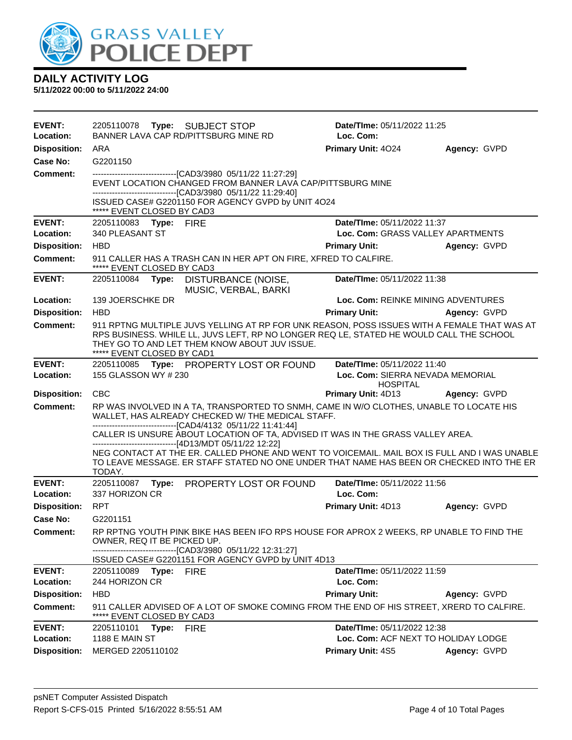

| <b>EVENT:</b><br>Location:             | 2205110078 Type: SUBJECT STOP<br>BANNER LAVA CAP RD/PITTSBURG MINE RD                                                                                                                                                                                                           | <b>Date/Time: 05/11/2022 11:25</b><br>Loc. Com:          |                     |
|----------------------------------------|---------------------------------------------------------------------------------------------------------------------------------------------------------------------------------------------------------------------------------------------------------------------------------|----------------------------------------------------------|---------------------|
| <b>Disposition:</b>                    | ARA                                                                                                                                                                                                                                                                             | Primary Unit: 4024                                       | Agency: GVPD        |
| Case No:                               | G2201150                                                                                                                                                                                                                                                                        |                                                          |                     |
| <b>Comment:</b>                        | --------------------------------[CAD3/3980 05/11/22 11:27:29]<br>EVENT LOCATION CHANGED FROM BANNER LAVA CAP/PITTSBURG MINE<br>-------------------------------[CAD3/3980 05/11/22 11:29:40]<br>ISSUED CASE# G2201150 FOR AGENCY GVPD by UNIT 4O24<br>***** EVENT CLOSED BY CAD3 |                                                          |                     |
| <b>EVENT:</b>                          | 2205110083 Type: FIRE                                                                                                                                                                                                                                                           | Date/TIme: 05/11/2022 11:37                              |                     |
| Location:                              | 340 PLEASANT ST                                                                                                                                                                                                                                                                 | Loc. Com: GRASS VALLEY APARTMENTS                        |                     |
| <b>Disposition:</b>                    | <b>HBD</b>                                                                                                                                                                                                                                                                      | <b>Primary Unit:</b>                                     | Agency: GVPD        |
| <b>Comment:</b>                        | 911 CALLER HAS A TRASH CAN IN HER APT ON FIRE, XFRED TO CALFIRE.<br>***** EVENT CLOSED BY CAD3                                                                                                                                                                                  |                                                          |                     |
| <b>EVENT:</b>                          | 2205110084 Type:<br>DISTURBANCE (NOISE,<br>MUSIC, VERBAL, BARKI                                                                                                                                                                                                                 | Date/TIme: 05/11/2022 11:38                              |                     |
| Location:                              | 139 JOERSCHKE DR                                                                                                                                                                                                                                                                | Loc. Com: REINKE MINING ADVENTURES                       |                     |
| <b>Disposition:</b>                    | <b>HBD</b>                                                                                                                                                                                                                                                                      | <b>Primary Unit:</b>                                     | Agency: GVPD        |
| <b>Comment:</b>                        | 911 RPTNG MULTIPLE JUVS YELLING AT RP FOR UNK REASON, POSS ISSUES WITH A FEMALE THAT WAS AT<br>RPS BUSINESS. WHILE LL, JUVS LEFT, RP NO LONGER REQ LE, STATED HE WOULD CALL THE SCHOOL<br>THEY GO TO AND LET THEM KNOW ABOUT JUV ISSUE.<br>***** EVENT CLOSED BY CAD1           |                                                          |                     |
| <b>EVENT:</b>                          | 2205110085 Type: PROPERTY LOST OR FOUND                                                                                                                                                                                                                                         | Date/TIme: 05/11/2022 11:40                              |                     |
| Location:                              | 155 GLASSON WY # 230                                                                                                                                                                                                                                                            | Loc. Com: SIERRA NEVADA MEMORIAL<br><b>HOSPITAL</b>      |                     |
|                                        |                                                                                                                                                                                                                                                                                 |                                                          |                     |
|                                        | <b>CBC</b>                                                                                                                                                                                                                                                                      | <b>Primary Unit: 4D13</b>                                | <b>Agency: GVPD</b> |
| <b>Disposition:</b><br><b>Comment:</b> | RP WAS INVOLVED IN A TA, TRANSPORTED TO SNMH, CAME IN W/O CLOTHES, UNABLE TO LOCATE HIS<br>WALLET, HAS ALREADY CHECKED W/ THE MEDICAL STAFF.                                                                                                                                    |                                                          |                     |
|                                        | -------------------------------[CAD4/4132 05/11/22 11:41:44]<br>CALLER IS UNSURE ABOUT LOCATION OF TA, ADVISED IT WAS IN THE GRASS VALLEY AREA.<br>-------------------------[4D13/MDT 05/11/22 12:22]                                                                           |                                                          |                     |
|                                        | NEG CONTACT AT THE ER. CALLED PHONE AND WENT TO VOICEMAIL. MAIL BOX IS FULL AND I WAS UNABLE<br>TO LEAVE MESSAGE. ER STAFF STATED NO ONE UNDER THAT NAME HAS BEEN OR CHECKED INTO THE ER<br>TODAY.                                                                              |                                                          |                     |
| <b>EVENT:</b>                          | Type: PROPERTY LOST OR FOUND<br>2205110087                                                                                                                                                                                                                                      | Date/TIme: 05/11/2022 11:56                              |                     |
| Location:                              | 337 HORIZON CR                                                                                                                                                                                                                                                                  | Loc. Com:                                                |                     |
| <b>Disposition:</b>                    | <b>RPT</b>                                                                                                                                                                                                                                                                      | Primary Unit: 4D13                                       | Agency: GVPD        |
| Case No:<br><b>Comment:</b>            | G2201151<br>RP RPTNG YOUTH PINK BIKE HAS BEEN IFO RPS HOUSE FOR APROX 2 WEEKS, RP UNABLE TO FIND THE<br>OWNER, REQ IT BE PICKED UP.                                                                                                                                             |                                                          |                     |
|                                        | --[CAD3/3980 05/11/22 12:31:27]                                                                                                                                                                                                                                                 |                                                          |                     |
| <b>EVENT:</b>                          | ISSUED CASE# G2201151 FOR AGENCY GVPD by UNIT 4D13<br>2205110089                                                                                                                                                                                                                | Date/TIme: 05/11/2022 11:59                              |                     |
| Location:                              | Type: FIRE<br>244 HORIZON CR                                                                                                                                                                                                                                                    | Loc. Com:                                                |                     |
| <b>Disposition:</b>                    | <b>HBD</b>                                                                                                                                                                                                                                                                      | <b>Primary Unit:</b>                                     | Agency: GVPD        |
| <b>Comment:</b>                        | 911 CALLER ADVISED OF A LOT OF SMOKE COMING FROM THE END OF HIS STREET, XRERD TO CALFIRE.<br>***** EVENT CLOSED BY CAD3                                                                                                                                                         |                                                          |                     |
| <b>EVENT:</b>                          | 2205110101<br>Type:<br><b>FIRE</b>                                                                                                                                                                                                                                              | Date/TIme: 05/11/2022 12:38                              |                     |
| Location:<br><b>Disposition:</b>       | <b>1188 E MAIN ST</b><br>MERGED 2205110102                                                                                                                                                                                                                                      | Loc. Com: ACF NEXT TO HOLIDAY LODGE<br>Primary Unit: 4S5 | Agency: GVPD        |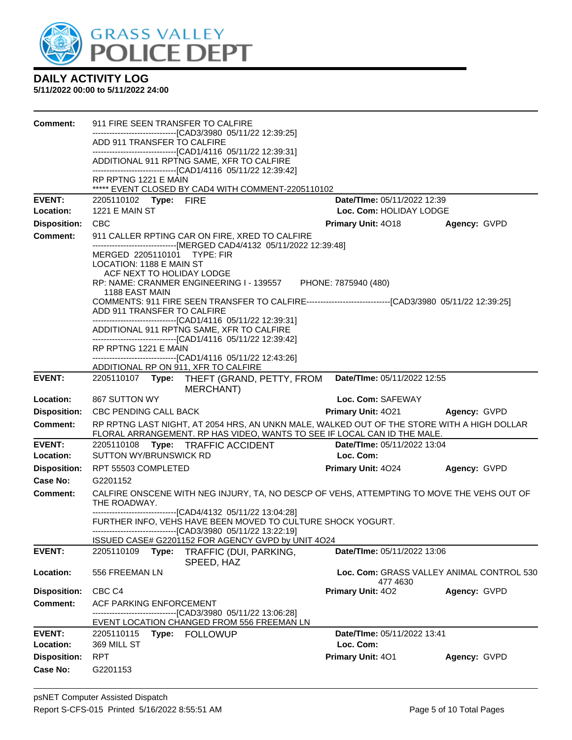

| Comment:                   | 911 FIRE SEEN TRANSFER TO CALFIRE                                                                                                                                      |                                                        |                                           |
|----------------------------|------------------------------------------------------------------------------------------------------------------------------------------------------------------------|--------------------------------------------------------|-------------------------------------------|
|                            | ------------------------------[CAD3/3980 05/11/22 12:39:25]<br>ADD 911 TRANSFER TO CALFIRE                                                                             |                                                        |                                           |
|                            | -------------------------------[CAD1/4116 05/11/22 12:39:31]                                                                                                           |                                                        |                                           |
|                            | ADDITIONAL 911 RPTNG SAME, XFR TO CALFIRE<br>-------------------------------[CAD1/4116 05/11/22 12:39:42]                                                              |                                                        |                                           |
|                            | RP RPTNG 1221 E MAIN                                                                                                                                                   |                                                        |                                           |
|                            | ***** EVENT CLOSED BY CAD4 WITH COMMENT-2205110102                                                                                                                     |                                                        |                                           |
| <b>EVENT:</b><br>Location: | 2205110102 Type: FIRE<br><b>1221 E MAIN ST</b>                                                                                                                         | Date/TIme: 05/11/2022 12:39<br>Loc. Com: HOLIDAY LODGE |                                           |
| <b>Disposition:</b>        | <b>CBC</b>                                                                                                                                                             | <b>Primary Unit: 4018</b>                              | Agency: GVPD                              |
| <b>Comment:</b>            | 911 CALLER RPTING CAR ON FIRE, XRED TO CALFIRE                                                                                                                         |                                                        |                                           |
|                            | ------------------------------[MERGED CAD4/4132 05/11/2022 12:39:48]                                                                                                   |                                                        |                                           |
|                            | MERGED 2205110101 TYPE: FIR<br>LOCATION: 1188 E MAIN ST                                                                                                                |                                                        |                                           |
|                            | ACF NEXT TO HOLIDAY LODGE                                                                                                                                              |                                                        |                                           |
|                            | RP: NAME: CRANMER ENGINEERING I - 139557 PHONE: 7875940 (480)                                                                                                          |                                                        |                                           |
|                            | 1188 EAST MAIN<br>COMMENTS: 911 FIRE SEEN TRANSFER TO CALFIRE--------------------------------[CAD3/3980 05/11/22 12:39:25]                                             |                                                        |                                           |
|                            | ADD 911 TRANSFER TO CALFIRE                                                                                                                                            |                                                        |                                           |
|                            | -------------------------------[CAD1/4116 05/11/22 12:39:31]<br>ADDITIONAL 911 RPTNG SAME, XFR TO CALFIRE                                                              |                                                        |                                           |
|                            | -------------------------------[CAD1/4116 05/11/22 12:39:42]                                                                                                           |                                                        |                                           |
|                            | RP RPTNG 1221 E MAIN                                                                                                                                                   |                                                        |                                           |
|                            | -------------------------------[CAD1/4116 05/11/22 12:43:26]<br>ADDITIONAL RP ON 911, XFR TO CALFIRE                                                                   |                                                        |                                           |
| <b>EVENT:</b>              | 2205110107 Type: THEFT (GRAND, PETTY, FROM                                                                                                                             | Date/TIme: 05/11/2022 12:55                            |                                           |
|                            | <b>MERCHANT)</b>                                                                                                                                                       |                                                        |                                           |
| Location:                  | 867 SUTTON WY                                                                                                                                                          | Loc. Com: SAFEWAY                                      |                                           |
| <b>Disposition:</b>        | <b>CBC PENDING CALL BACK</b>                                                                                                                                           | <b>Primary Unit: 4021</b>                              | Agency: GVPD                              |
| <b>Comment:</b>            | RP RPTNG LAST NIGHT, AT 2054 HRS, AN UNKN MALE, WALKED OUT OF THE STORE WITH A HIGH DOLLAR<br>FLORAL ARRANGEMENT. RP HAS VIDEO, WANTS TO SEE IF LOCAL CAN ID THE MALE. |                                                        |                                           |
| <b>EVENT:</b>              | 2205110108 Type: TRAFFIC ACCIDENT                                                                                                                                      | Date/TIme: 05/11/2022 13:04                            |                                           |
| Location:                  | SUTTON WY/BRUNSWICK RD                                                                                                                                                 | Loc. Com:                                              |                                           |
| <b>Disposition:</b>        | RPT 55503 COMPLETED                                                                                                                                                    | <b>Primary Unit: 4024</b>                              | Agency: GVPD                              |
| Case No:                   | G2201152                                                                                                                                                               |                                                        |                                           |
| <b>Comment:</b>            | CALFIRE ONSCENE WITH NEG INJURY, TA, NO DESCP OF VEHS, ATTEMPTING TO MOVE THE VEHS OUT OF<br>THE ROADWAY.                                                              |                                                        |                                           |
|                            | -------------------------------[CAD4/4132 05/11/22 13:04:28]                                                                                                           |                                                        |                                           |
|                            | FURTHER INFO, VEHS HAVE BEEN MOVED TO CULTURE SHOCK YOGURT.<br>--------------------------------[CAD3/3980 05/11/22 13:22:19]                                           |                                                        |                                           |
|                            | ISSUED CASE# G2201152 FOR AGENCY GVPD by UNIT 4O24                                                                                                                     |                                                        |                                           |
| <b>EVENT:</b>              | TRAFFIC (DUI, PARKING,<br>2205110109<br>Type:                                                                                                                          | Date/TIme: 05/11/2022 13:06                            |                                           |
| Location:                  | SPEED, HAZ<br>556 FREEMAN LN                                                                                                                                           |                                                        | Loc. Com: GRASS VALLEY ANIMAL CONTROL 530 |
|                            |                                                                                                                                                                        | 477 4630                                               |                                           |
| <b>Disposition:</b>        | CBC <sub>C4</sub>                                                                                                                                                      | Primary Unit: 402                                      | Agency: GVPD                              |
| <b>Comment:</b>            | ACF PARKING ENFORCEMENT<br>--------------------------[CAD3/3980_05/11/22 13:06:28]                                                                                     |                                                        |                                           |
|                            | EVENT LOCATION CHANGED FROM 556 FREEMAN LN                                                                                                                             |                                                        |                                           |
| <b>EVENT:</b>              | Type: FOLLOWUP<br>2205110115                                                                                                                                           | Date/TIme: 05/11/2022 13:41                            |                                           |
| Location:                  | 369 MILL ST                                                                                                                                                            | Loc. Com:                                              |                                           |
| <b>Disposition:</b>        | <b>RPT</b>                                                                                                                                                             | Primary Unit: 401                                      | Agency: GVPD                              |
| Case No:                   | G2201153                                                                                                                                                               |                                                        |                                           |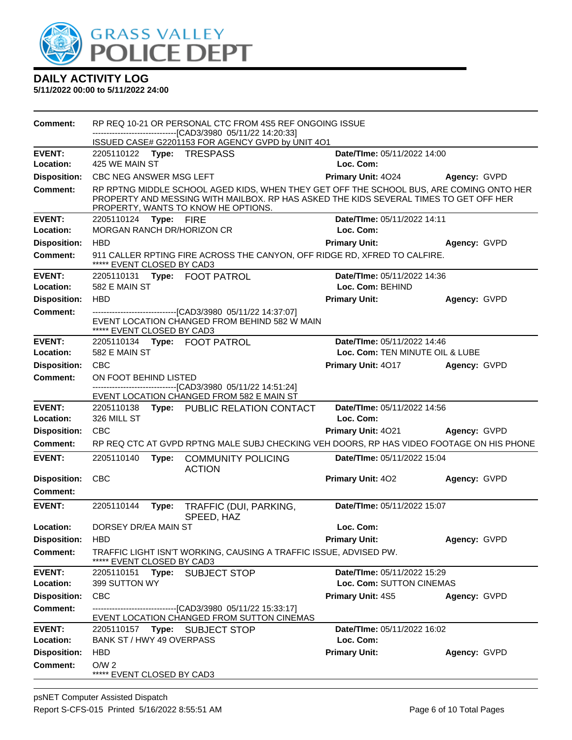

| <b>Comment:</b>            |                                                | RP REQ 10-21 OR PERSONAL CTC FROM 4S5 REF ONGOING ISSUE<br>-------------------------------[CAD3/3980_05/11/22 14:20:33]<br>ISSUED CASE# G2201153 FOR AGENCY GVPD by UNIT 4O1                                            |                                          |              |
|----------------------------|------------------------------------------------|-------------------------------------------------------------------------------------------------------------------------------------------------------------------------------------------------------------------------|------------------------------------------|--------------|
| <b>EVENT:</b>              | 2205110122 Type: TRESPASS                      |                                                                                                                                                                                                                         | Date/TIme: 05/11/2022 14:00              |              |
| Location:                  | 425 WE MAIN ST                                 |                                                                                                                                                                                                                         | Loc. Com:                                |              |
| <b>Disposition:</b>        | CBC NEG ANSWER MSG LEFT                        |                                                                                                                                                                                                                         | Primary Unit: 4024                       | Agency: GVPD |
| <b>Comment:</b>            |                                                | RP RPTNG MIDDLE SCHOOL AGED KIDS, WHEN THEY GET OFF THE SCHOOL BUS, ARE COMING ONTO HER<br>PROPERTY AND MESSING WITH MAILBOX. RP HAS ASKED THE KIDS SEVERAL TIMES TO GET OFF HER<br>PROPERTY, WANTS TO KNOW HE OPTIONS. |                                          |              |
| <b>EVENT:</b>              | 2205110124 Type: FIRE                          |                                                                                                                                                                                                                         | Date/TIme: 05/11/2022 14:11              |              |
| Location:                  | <b>MORGAN RANCH DR/HORIZON CR</b>              |                                                                                                                                                                                                                         | Loc. Com:                                |              |
| <b>Disposition:</b>        | <b>HBD</b>                                     |                                                                                                                                                                                                                         | <b>Primary Unit:</b>                     | Agency: GVPD |
| <b>Comment:</b>            | ***** EVENT CLOSED BY CAD3                     | 911 CALLER RPTING FIRE ACROSS THE CANYON, OFF RIDGE RD, XFRED TO CALFIRE.                                                                                                                                               |                                          |              |
| <b>EVENT:</b>              | 2205110131 Type: FOOT PATROL                   |                                                                                                                                                                                                                         | Date/TIme: 05/11/2022 14:36              |              |
| Location:                  | 582 E MAIN ST                                  |                                                                                                                                                                                                                         | Loc. Com: BEHIND                         |              |
| <b>Disposition:</b>        | <b>HBD</b>                                     |                                                                                                                                                                                                                         | <b>Primary Unit:</b>                     | Agency: GVPD |
| <b>Comment:</b>            | ***** EVENT CLOSED BY CAD3                     | ------------------------[CAD3/3980_05/11/22 14:37:07]<br>EVENT LOCATION CHANGED FROM BEHIND 582 W MAIN                                                                                                                  |                                          |              |
| <b>EVENT:</b>              | 2205110134 Type: FOOT PATROL                   |                                                                                                                                                                                                                         | Date/TIme: 05/11/2022 14:46              |              |
| Location:                  | 582 E MAIN ST                                  |                                                                                                                                                                                                                         | Loc. Com: TEN MINUTE OIL & LUBE          |              |
| <b>Disposition:</b>        | <b>CBC</b>                                     |                                                                                                                                                                                                                         | Primary Unit: 4017                       | Agency: GVPD |
| Comment:                   | ON FOOT BEHIND LISTED                          |                                                                                                                                                                                                                         |                                          |              |
|                            |                                                | ---------------------------------[CAD3/3980 05/11/22 14:51:24]<br>EVENT LOCATION CHANGED FROM 582 E MAIN ST                                                                                                             |                                          |              |
| <b>EVENT:</b><br>Location: | 326 MILL ST                                    | 2205110138 Type: PUBLIC RELATION CONTACT                                                                                                                                                                                | Date/TIme: 05/11/2022 14:56<br>Loc. Com: |              |
| <b>Disposition:</b>        | <b>CBC</b>                                     |                                                                                                                                                                                                                         | Primary Unit: 4021                       | Agency: GVPD |
| <b>Comment:</b>            |                                                | RP REQ CTC AT GVPD RPTNG MALE SUBJ CHECKING VEH DOORS, RP HAS VIDEO FOOTAGE ON HIS PHONE                                                                                                                                |                                          |              |
| <b>EVENT:</b>              | 2205110140<br>Type:                            | <b>COMMUNITY POLICING</b><br><b>ACTION</b>                                                                                                                                                                              | Date/TIme: 05/11/2022 15:04              |              |
| <b>Disposition:</b>        | CBC                                            |                                                                                                                                                                                                                         | <b>Primary Unit: 402</b>                 | Agency: GVPD |
| <b>Comment:</b>            |                                                |                                                                                                                                                                                                                         |                                          |              |
| <b>EVENT:</b>              | 2205110144<br>Type:                            | TRAFFIC (DUI, PARKING,<br>SPEED, HAZ                                                                                                                                                                                    | Date/TIme: 05/11/2022 15:07              |              |
| Location:                  | DORSEY DR/EA MAIN ST                           |                                                                                                                                                                                                                         | Loc. Com:                                |              |
| <b>Disposition:</b>        | <b>HBD</b>                                     |                                                                                                                                                                                                                         | <b>Primary Unit:</b>                     | Agency: GVPD |
| <b>Comment:</b>            | EVENT CLOSED BY CAD3                           | TRAFFIC LIGHT ISN'T WORKING, CAUSING A TRAFFIC ISSUE, ADVISED PW.                                                                                                                                                       |                                          |              |
| <b>EVENT:</b>              | 2205110151 Type:                               | <b>SUBJECT STOP</b>                                                                                                                                                                                                     | Date/TIme: 05/11/2022 15:29              |              |
| Location:                  | 399 SUTTON WY                                  |                                                                                                                                                                                                                         | Loc. Com: SUTTON CINEMAS                 |              |
| <b>Disposition:</b>        | <b>CBC</b>                                     |                                                                                                                                                                                                                         | Primary Unit: 4S5                        | Agency: GVPD |
| <b>Comment:</b>            |                                                | --------------------------[CAD3/3980_05/11/22 15:33:17]<br>EVENT LOCATION CHANGED FROM SUTTON CINEMAS                                                                                                                   |                                          |              |
| <b>EVENT:</b>              | 2205110157 Type: SUBJECT STOP                  |                                                                                                                                                                                                                         | Date/TIme: 05/11/2022 16:02              |              |
| Location:                  | BANK ST / HWY 49 OVERPASS                      |                                                                                                                                                                                                                         | Loc. Com:                                |              |
| <b>Disposition:</b>        | <b>HBD</b>                                     |                                                                                                                                                                                                                         | <b>Primary Unit:</b>                     | Agency: GVPD |
| <b>Comment:</b>            | O/W <sub>2</sub><br>***** EVENT CLOSED BY CAD3 |                                                                                                                                                                                                                         |                                          |              |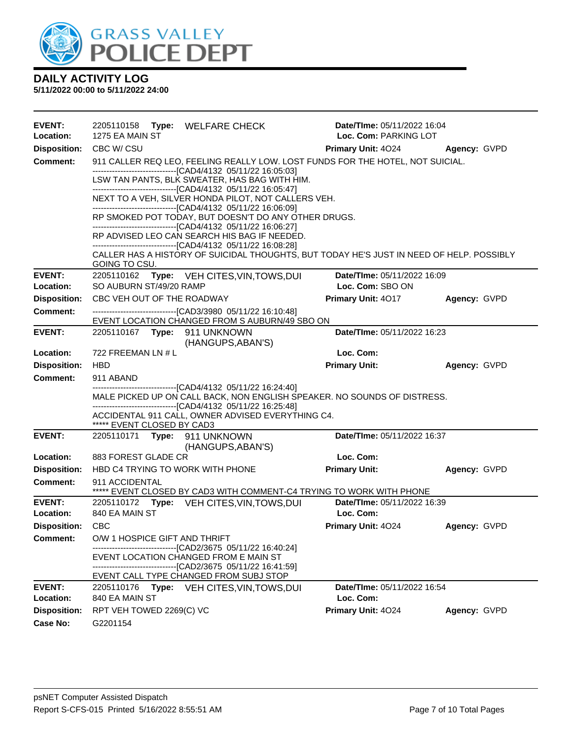

| <b>EVENT:</b><br>Location: | 2205110158<br>1275 EA MAIN ST                                                                                                                                                 | Type: WELFARE CHECK                                                                                                                                                                                                                                    | Date/TIme: 05/11/2022 16:04<br>Loc. Com: PARKING LOT |              |  |  |  |
|----------------------------|-------------------------------------------------------------------------------------------------------------------------------------------------------------------------------|--------------------------------------------------------------------------------------------------------------------------------------------------------------------------------------------------------------------------------------------------------|------------------------------------------------------|--------------|--|--|--|
| <b>Disposition:</b>        | CBC W/CSU                                                                                                                                                                     |                                                                                                                                                                                                                                                        | <b>Primary Unit: 4024</b>                            | Agency: GVPD |  |  |  |
| <b>Comment:</b>            |                                                                                                                                                                               | 911 CALLER REQ LEO, FEELING REALLY LOW. LOST FUNDS FOR THE HOTEL, NOT SUICIAL.                                                                                                                                                                         |                                                      |              |  |  |  |
|                            | --------------------------------[CAD4/4132 05/11/22 16:05:03]<br>LSW TAN PANTS, BLK SWEATER, HAS BAG WITH HIM.<br>------------------------------[CAD4/4132 05/11/22 16:05:47] |                                                                                                                                                                                                                                                        |                                                      |              |  |  |  |
|                            |                                                                                                                                                                               | NEXT TO A VEH, SILVER HONDA PILOT, NOT CALLERS VEH.<br>-------------------------------[CAD4/4132 05/11/22 16:06:09]                                                                                                                                    |                                                      |              |  |  |  |
|                            |                                                                                                                                                                               | RP SMOKED POT TODAY, BUT DOESN'T DO ANY OTHER DRUGS.<br>-------------------------------[CAD4/4132 05/11/22 16:06:27]                                                                                                                                   |                                                      |              |  |  |  |
|                            |                                                                                                                                                                               | RP ADVISED LEO CAN SEARCH HIS BAG IF NEEDED.                                                                                                                                                                                                           |                                                      |              |  |  |  |
|                            | GOING TO CSU.                                                                                                                                                                 | -------------------------------[CAD4/4132 05/11/22 16:08:28]<br>CALLER HAS A HISTORY OF SUICIDAL THOUGHTS, BUT TODAY HE'S JUST IN NEED OF HELP. POSSIBLY                                                                                               |                                                      |              |  |  |  |
| <b>EVENT:</b><br>Location: | 2205110162<br>SO AUBURN ST/49/20 RAMP                                                                                                                                         | <b>Type:</b> VEH CITES, VIN, TOWS, DUI                                                                                                                                                                                                                 | Date/TIme: 05/11/2022 16:09<br>Loc. Com: SBO ON      |              |  |  |  |
| <b>Disposition:</b>        | CBC VEH OUT OF THE ROADWAY                                                                                                                                                    |                                                                                                                                                                                                                                                        | Primary Unit: 4017                                   | Agency: GVPD |  |  |  |
| <b>Comment:</b>            |                                                                                                                                                                               | -------------------------------[CAD3/3980 05/11/22 16:10:48]<br>EVENT LOCATION CHANGED FROM S AUBURN/49 SBO ON                                                                                                                                         |                                                      |              |  |  |  |
| <b>EVENT:</b>              | 2205110167 Type: 911 UNKNOWN                                                                                                                                                  | (HANGUPS, ABAN'S)                                                                                                                                                                                                                                      | Date/TIme: 05/11/2022 16:23                          |              |  |  |  |
| Location:                  | 722 FREEMAN LN # L                                                                                                                                                            |                                                                                                                                                                                                                                                        | Loc. Com:                                            |              |  |  |  |
| <b>Disposition:</b>        | <b>HBD</b>                                                                                                                                                                    |                                                                                                                                                                                                                                                        | <b>Primary Unit:</b>                                 | Agency: GVPD |  |  |  |
| <b>Comment:</b>            | 911 ABAND                                                                                                                                                                     |                                                                                                                                                                                                                                                        |                                                      |              |  |  |  |
|                            | ***** EVENT CLOSED BY CAD3                                                                                                                                                    | ----------------------[CAD4/4132_05/11/22 16:24:40]<br>MALE PICKED UP ON CALL BACK, NON ENGLISH SPEAKER. NO SOUNDS OF DISTRESS.<br>---------------------------------[CAD4/4132 05/11/22 16:25:48]<br>ACCIDENTAL 911 CALL, OWNER ADVISED EVERYTHING C4. |                                                      |              |  |  |  |
| <b>EVENT:</b>              | 2205110171                                                                                                                                                                    | Type: 911 UNKNOWN<br>(HANGUPS, ABAN'S)                                                                                                                                                                                                                 | Date/TIme: 05/11/2022 16:37                          |              |  |  |  |
| Location:                  | 883 FOREST GLADE CR                                                                                                                                                           |                                                                                                                                                                                                                                                        | Loc. Com:                                            |              |  |  |  |
| <b>Disposition:</b>        | HBD C4 TRYING TO WORK WITH PHONE                                                                                                                                              |                                                                                                                                                                                                                                                        | <b>Primary Unit:</b>                                 | Agency: GVPD |  |  |  |
| Comment:                   | 911 ACCIDENTAL                                                                                                                                                                | ***** EVENT CLOSED BY CAD3 WITH COMMENT-C4 TRYING TO WORK WITH PHONE                                                                                                                                                                                   |                                                      |              |  |  |  |
| <b>EVENT:</b>              |                                                                                                                                                                               | 2205110172 Type: VEH CITES, VIN, TOWS, DUI                                                                                                                                                                                                             | Date/TIme: 05/11/2022 16:39                          |              |  |  |  |
| Location:                  | 840 EA MAIN ST                                                                                                                                                                |                                                                                                                                                                                                                                                        | Loc. Com:                                            |              |  |  |  |
| <b>Disposition:</b>        | <b>CBC</b>                                                                                                                                                                    |                                                                                                                                                                                                                                                        | Primary Unit: 4024                                   | Agency: GVPD |  |  |  |
| <b>Comment:</b>            | O/W 1 HOSPICE GIFT AND THRIFT                                                                                                                                                 |                                                                                                                                                                                                                                                        |                                                      |              |  |  |  |
|                            |                                                                                                                                                                               | -----------------------[CAD2/3675_05/11/22 16:40:24]<br>EVENT LOCATION CHANGED FROM E MAIN ST<br>-------------------------------[CAD2/3675_05/11/22_16:41:59]                                                                                          |                                                      |              |  |  |  |
|                            |                                                                                                                                                                               | EVENT CALL TYPE CHANGED FROM SUBJ STOP                                                                                                                                                                                                                 |                                                      |              |  |  |  |
| <b>EVENT:</b><br>Location: | 2205110176<br>840 EA MAIN ST                                                                                                                                                  | Type: VEH CITES, VIN, TOWS, DUI                                                                                                                                                                                                                        | Date/TIme: 05/11/2022 16:54<br>Loc. Com:             |              |  |  |  |
| <b>Disposition:</b>        | RPT VEH TOWED 2269(C) VC                                                                                                                                                      |                                                                                                                                                                                                                                                        | Primary Unit: 4024                                   | Agency: GVPD |  |  |  |
| Case No:                   | G2201154                                                                                                                                                                      |                                                                                                                                                                                                                                                        |                                                      |              |  |  |  |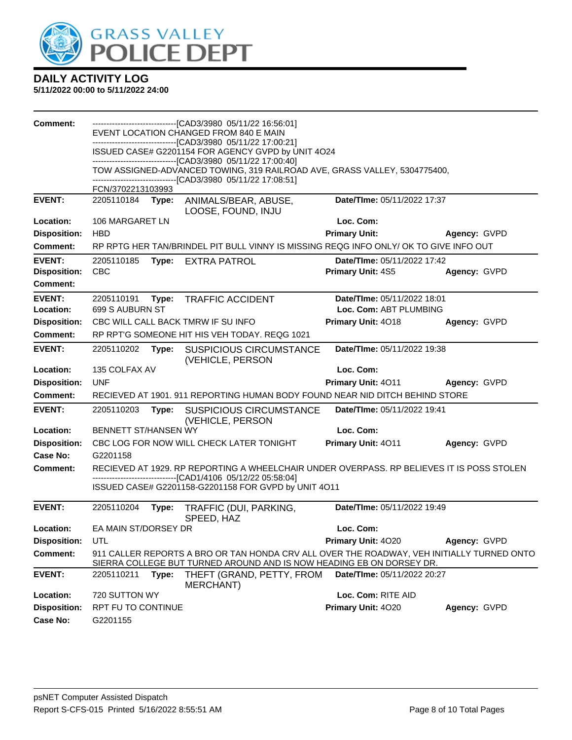

| Comment:                               |                               |       | --------------------------------[CAD3/3980 05/11/22 16:56:01]<br>EVENT LOCATION CHANGED FROM 840 E MAIN                                                           |                                                       |                     |
|----------------------------------------|-------------------------------|-------|-------------------------------------------------------------------------------------------------------------------------------------------------------------------|-------------------------------------------------------|---------------------|
|                                        |                               |       | ----------------------[CAD3/3980_05/11/22 17:00:21]                                                                                                               |                                                       |                     |
|                                        |                               |       | ISSUED CASE# G2201154 FOR AGENCY GVPD by UNIT 4O24<br>-------------------------------[CAD3/3980 05/11/22 17:00:40]                                                |                                                       |                     |
|                                        |                               |       | TOW ASSIGNED-ADVANCED TOWING, 319 RAILROAD AVE, GRASS VALLEY, 5304775400,                                                                                         |                                                       |                     |
|                                        | FCN/3702213103993             |       | -------------------------------[CAD3/3980 05/11/22 17:08:51]                                                                                                      |                                                       |                     |
| <b>EVENT:</b>                          | 2205110184                    | Type: | ANIMALS/BEAR, ABUSE,                                                                                                                                              | Date/TIme: 05/11/2022 17:37                           |                     |
|                                        |                               |       | LOOSE, FOUND, INJU                                                                                                                                                |                                                       |                     |
| Location:                              | 106 MARGARET LN               |       |                                                                                                                                                                   | Loc. Com:                                             |                     |
| <b>Disposition:</b>                    | <b>HBD</b>                    |       |                                                                                                                                                                   | <b>Primary Unit:</b>                                  | Agency: GVPD        |
| <b>Comment:</b>                        |                               |       | RP RPTG HER TAN/BRINDEL PIT BULL VINNY IS MISSING REQG INFO ONLY/ OK TO GIVE INFO OUT                                                                             |                                                       |                     |
| <b>EVENT:</b>                          | 2205110185                    | Type: | <b>EXTRA PATROL</b>                                                                                                                                               | Date/TIme: 05/11/2022 17:42                           |                     |
| <b>Disposition:</b><br><b>Comment:</b> | <b>CBC</b>                    |       |                                                                                                                                                                   | <b>Primary Unit: 4S5</b>                              | Agency: GVPD        |
|                                        |                               |       |                                                                                                                                                                   |                                                       |                     |
| <b>EVENT:</b><br>Location:             | 2205110191<br>699 S AUBURN ST | Type: | <b>TRAFFIC ACCIDENT</b>                                                                                                                                           | Date/TIme: 05/11/2022 18:01<br>Loc. Com: ABT PLUMBING |                     |
| <b>Disposition:</b>                    |                               |       | CBC WILL CALL BACK TMRW IF SU INFO                                                                                                                                | Primary Unit: 4018                                    | Agency: GVPD        |
| <b>Comment:</b>                        |                               |       | RP RPT'G SOMEONE HIT HIS VEH TODAY. REQG 1021                                                                                                                     |                                                       |                     |
| <b>EVENT:</b>                          | 2205110202                    | Type: | <b>SUSPICIOUS CIRCUMSTANCE</b><br>(VEHICLE, PERSON                                                                                                                | Date/TIme: 05/11/2022 19:38                           |                     |
| Location:                              | 135 COLFAX AV                 |       |                                                                                                                                                                   | Loc. Com:                                             |                     |
| <b>Disposition:</b>                    | <b>UNF</b>                    |       |                                                                                                                                                                   | Primary Unit: 4011                                    | <b>Agency: GVPD</b> |
| <b>Comment:</b>                        |                               |       | RECIEVED AT 1901. 911 REPORTING HUMAN BODY FOUND NEAR NID DITCH BEHIND STORE                                                                                      |                                                       |                     |
| <b>EVENT:</b>                          | 2205110203                    | Type: | <b>SUSPICIOUS CIRCUMSTANCE</b><br>(VEHICLE, PERSON                                                                                                                | Date/TIme: 05/11/2022 19:41                           |                     |
| Location:                              | <b>BENNETT ST/HANSEN WY</b>   |       |                                                                                                                                                                   | Loc. Com:                                             |                     |
| <b>Disposition:</b>                    |                               |       | CBC LOG FOR NOW WILL CHECK LATER TONIGHT                                                                                                                          | Primary Unit: 4011                                    | Agency: GVPD        |
| <b>Case No:</b>                        | G2201158                      |       |                                                                                                                                                                   |                                                       |                     |
| <b>Comment:</b>                        |                               |       | RECIEVED AT 1929. RP REPORTING A WHEELCHAIR UNDER OVERPASS. RP BELIEVES IT IS POSS STOLEN<br>---------------------[CAD1/4106 05/12/22 05:58:04]                   |                                                       |                     |
|                                        |                               |       | ISSUED CASE# G2201158-G2201158 FOR GVPD by UNIT 4O11                                                                                                              |                                                       |                     |
| <b>EVENT:</b>                          |                               |       |                                                                                                                                                                   |                                                       |                     |
|                                        |                               |       |                                                                                                                                                                   |                                                       |                     |
|                                        | 2205110204                    | Type: | TRAFFIC (DUI, PARKING,<br>SPEED, HAZ                                                                                                                              | Date/TIme: 05/11/2022 19:49                           |                     |
| Location:                              | EA MAIN ST/DORSEY DR          |       |                                                                                                                                                                   | Loc. Com:                                             |                     |
| <b>Disposition:</b>                    | UTL                           |       |                                                                                                                                                                   | Primary Unit: 4020                                    | Agency: GVPD        |
| <b>Comment:</b>                        |                               |       | 911 CALLER REPORTS A BRO OR TAN HONDA CRV ALL OVER THE ROADWAY, VEH INITIALLY TURNED ONTO<br>SIERRA COLLEGE BUT TURNED AROUND AND IS NOW HEADING EB ON DORSEY DR. |                                                       |                     |
| <b>EVENT:</b>                          | 2205110211                    | Type: | THEFT (GRAND, PETTY, FROM                                                                                                                                         | Date/TIme: 05/11/2022 20:27                           |                     |
| Location:                              | 720 SUTTON WY                 |       | MERCHANT)                                                                                                                                                         | Loc. Com: RITE AID                                    |                     |
| <b>Disposition:</b>                    | RPT FU TO CONTINUE            |       |                                                                                                                                                                   | Primary Unit: 4020                                    | Agency: GVPD        |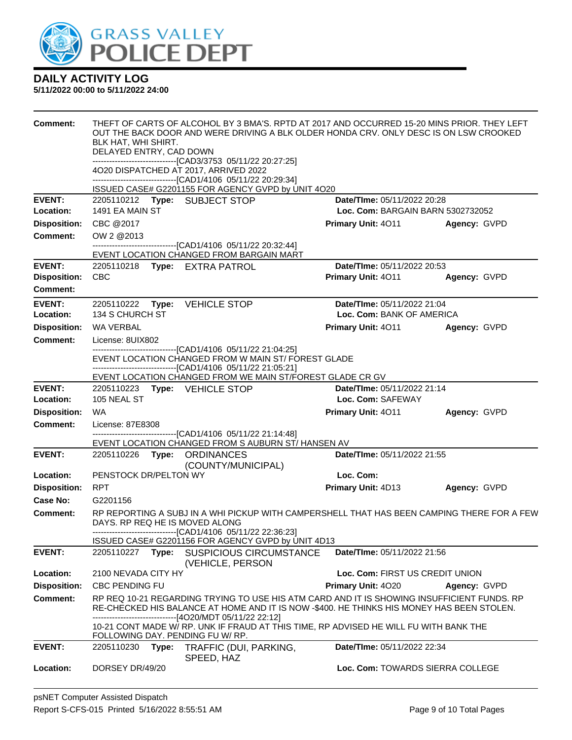

| <b>Comment:</b>     | BLK HAT, WHI SHIRT.<br>DELAYED ENTRY, CAD DOWN |       | THEFT OF CARTS OF ALCOHOL BY 3 BMA'S. RPTD AT 2017 AND OCCURRED 15-20 MINS PRIOR. THEY LEFT<br>OUT THE BACK DOOR AND WERE DRIVING A BLK OLDER HONDA CRV. ONLY DESC IS ON LSW CROOKED<br>-------------------------------[CAD3/3753_05/11/22_20:27:25]<br>4O20 DISPATCHED AT 2017, ARRIVED 2022<br>------------------------------[CAD1/4106 05/11/22 20:29:34]<br>ISSUED CASE# G2201155 FOR AGENCY GVPD by UNIT 4O20 |                                   |              |
|---------------------|------------------------------------------------|-------|--------------------------------------------------------------------------------------------------------------------------------------------------------------------------------------------------------------------------------------------------------------------------------------------------------------------------------------------------------------------------------------------------------------------|-----------------------------------|--------------|
| <b>EVENT:</b>       |                                                |       | 2205110212 Type: SUBJECT STOP                                                                                                                                                                                                                                                                                                                                                                                      | Date/TIme: 05/11/2022 20:28       |              |
| Location:           | 1491 EA MAIN ST                                |       |                                                                                                                                                                                                                                                                                                                                                                                                                    | Loc. Com: BARGAIN BARN 5302732052 |              |
| <b>Disposition:</b> | CBC @2017                                      |       |                                                                                                                                                                                                                                                                                                                                                                                                                    | Primary Unit: 4011                | Agency: GVPD |
| <b>Comment:</b>     | OW 2 @2013                                     |       |                                                                                                                                                                                                                                                                                                                                                                                                                    |                                   |              |
|                     |                                                |       | -------------------------------[CAD1/4106 05/11/22 20:32:44]                                                                                                                                                                                                                                                                                                                                                       |                                   |              |
| <b>EVENT:</b>       |                                                |       | EVENT LOCATION CHANGED FROM BARGAIN MART<br>2205110218 Type: EXTRA PATROL                                                                                                                                                                                                                                                                                                                                          | Date/TIme: 05/11/2022 20:53       |              |
| <b>Disposition:</b> | <b>CBC</b>                                     |       |                                                                                                                                                                                                                                                                                                                                                                                                                    | Primary Unit: 4011                | Agency: GVPD |
| <b>Comment:</b>     |                                                |       |                                                                                                                                                                                                                                                                                                                                                                                                                    |                                   |              |
| <b>EVENT:</b>       |                                                |       | 2205110222 Type: VEHICLE STOP                                                                                                                                                                                                                                                                                                                                                                                      | Date/TIme: 05/11/2022 21:04       |              |
| Location:           | 134 S CHURCH ST                                |       |                                                                                                                                                                                                                                                                                                                                                                                                                    | Loc. Com: BANK OF AMERICA         |              |
| <b>Disposition:</b> | <b>WA VERBAL</b>                               |       |                                                                                                                                                                                                                                                                                                                                                                                                                    | <b>Primary Unit: 4011</b>         | Agency: GVPD |
| <b>Comment:</b>     | License: 8UIX802                               |       |                                                                                                                                                                                                                                                                                                                                                                                                                    |                                   |              |
|                     |                                                |       | -------------------------------[CAD1/4106 05/11/22 21:04:25]<br>EVENT LOCATION CHANGED FROM W MAIN ST/ FOREST GLADE<br>------------------------------[CAD1/4106_05/11/22 21:05:21]<br>EVENT LOCATION CHANGED FROM WE MAIN ST/FOREST GLADE CR GV                                                                                                                                                                    |                                   |              |
| <b>EVENT:</b>       |                                                |       | 2205110223 Type: VEHICLE STOP                                                                                                                                                                                                                                                                                                                                                                                      | Date/TIme: 05/11/2022 21:14       |              |
| Location:           | 105 NEAL ST                                    |       |                                                                                                                                                                                                                                                                                                                                                                                                                    | Loc. Com: SAFEWAY                 |              |
| <b>Disposition:</b> | <b>WA</b>                                      |       |                                                                                                                                                                                                                                                                                                                                                                                                                    | <b>Primary Unit: 4011</b>         | Agency: GVPD |
| <b>Comment:</b>     | License: 87E8308                               |       |                                                                                                                                                                                                                                                                                                                                                                                                                    |                                   |              |
|                     |                                                |       | ------------------------[CAD1/4106_05/11/22 21:14:48]<br>EVENT LOCATION CHANGED FROM S AUBURN ST/ HANSEN AV                                                                                                                                                                                                                                                                                                        |                                   |              |
| <b>EVENT:</b>       |                                                |       | 2205110226 Type: ORDINANCES<br>(COUNTY/MUNICIPAL)                                                                                                                                                                                                                                                                                                                                                                  | Date/TIme: 05/11/2022 21:55       |              |
| Location:           | PENSTOCK DR/PELTON WY                          |       |                                                                                                                                                                                                                                                                                                                                                                                                                    | Loc. Com:                         |              |
| <b>Disposition:</b> | <b>RPT</b>                                     |       |                                                                                                                                                                                                                                                                                                                                                                                                                    | Primary Unit: 4D13                | Agency: GVPD |
| <b>Case No:</b>     | G2201156                                       |       |                                                                                                                                                                                                                                                                                                                                                                                                                    |                                   |              |
| <b>Comment:</b>     |                                                |       | RP REPORTING A SUBJ IN A WHI PICKUP WITH CAMPERSHELL THAT HAS BEEN CAMPING THERE FOR A FEW<br>DAYS. RP REQ HE IS MOVED ALONG<br>--------------------------------[CAD1/4106_05/11/22 22:36:23]<br>ISSUED CASE# G2201156 FOR AGENCY GVPD by UNIT 4D13                                                                                                                                                                |                                   |              |
| <b>EVENT:</b>       | 2205110227                                     | Type: | SUSPICIOUS CIRCUMSTANCE<br>(VEHICLE, PERSON                                                                                                                                                                                                                                                                                                                                                                        | Date/TIme: 05/11/2022 21:56       |              |
| Location:           | 2100 NEVADA CITY HY                            |       |                                                                                                                                                                                                                                                                                                                                                                                                                    | Loc. Com: FIRST US CREDIT UNION   |              |
| <b>Disposition:</b> | <b>CBC PENDING FU</b>                          |       |                                                                                                                                                                                                                                                                                                                                                                                                                    | <b>Primary Unit: 4020</b>         | Agency: GVPD |
| <b>Comment:</b>     |                                                |       | RP REQ 10-21 REGARDING TRYING TO USE HIS ATM CARD AND IT IS SHOWING INSUFFICIENT FUNDS. RP<br>RE-CHECKED HIS BALANCE AT HOME AND IT IS NOW -\$400. HE THINKS HIS MONEY HAS BEEN STOLEN.<br>-----------------------[4O20/MDT 05/11/22 22:12]                                                                                                                                                                        |                                   |              |
|                     |                                                |       | 10-21 CONT MADE W/ RP. UNK IF FRAUD AT THIS TIME, RP ADVISED HE WILL FU WITH BANK THE<br>FOLLOWING DAY. PENDING FU W/ RP.                                                                                                                                                                                                                                                                                          |                                   |              |
| <b>EVENT:</b>       | 2205110230                                     | Type: | TRAFFIC (DUI, PARKING,                                                                                                                                                                                                                                                                                                                                                                                             | Date/TIme: 05/11/2022 22:34       |              |
| Location:           | DORSEY DR/49/20                                |       | SPEED, HAZ                                                                                                                                                                                                                                                                                                                                                                                                         | Loc. Com: TOWARDS SIERRA COLLEGE  |              |